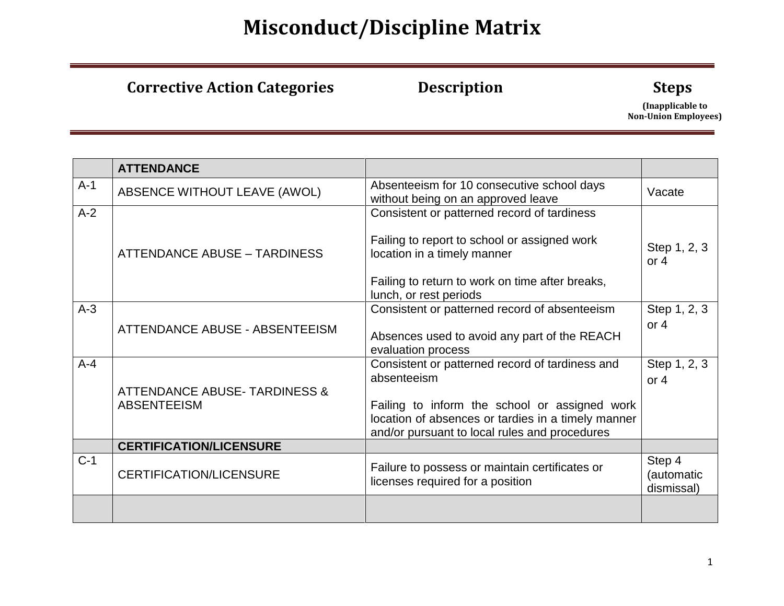### **Corrective Action Categories 6 10 Description 10 Steps**

|         | <b>ATTENDANCE</b>                                              |                                                                                                                                                                                                                        |                                    |
|---------|----------------------------------------------------------------|------------------------------------------------------------------------------------------------------------------------------------------------------------------------------------------------------------------------|------------------------------------|
| $A-1$   | ABSENCE WITHOUT LEAVE (AWOL)                                   | Absenteeism for 10 consecutive school days<br>without being on an approved leave                                                                                                                                       | Vacate                             |
| $A-2$   | <b>ATTENDANCE ABUSE - TARDINESS</b>                            | Consistent or patterned record of tardiness<br>Failing to report to school or assigned work<br>location in a timely manner<br>Failing to return to work on time after breaks,                                          | Step 1, 2, 3<br>or $4$             |
| $A-3$   | ATTENDANCE ABUSE - ABSENTEEISM                                 | lunch, or rest periods<br>Consistent or patterned record of absenteeism<br>Absences used to avoid any part of the REACH<br>evaluation process                                                                          | Step 1, 2, 3<br>or $4$             |
| $A - 4$ | <b>ATTENDANCE ABUSE- TARDINESS &amp;</b><br><b>ABSENTEEISM</b> | Consistent or patterned record of tardiness and<br>absenteeism<br>Failing to inform the school or assigned work<br>location of absences or tardies in a timely manner<br>and/or pursuant to local rules and procedures | Step 1, 2, 3<br>or $4$             |
|         | <b>CERTIFICATION/LICENSURE</b>                                 |                                                                                                                                                                                                                        |                                    |
| $C-1$   | <b>CERTIFICATION/LICENSURE</b>                                 | Failure to possess or maintain certificates or<br>licenses required for a position                                                                                                                                     | Step 4<br>(automatic<br>dismissal) |
|         |                                                                |                                                                                                                                                                                                                        |                                    |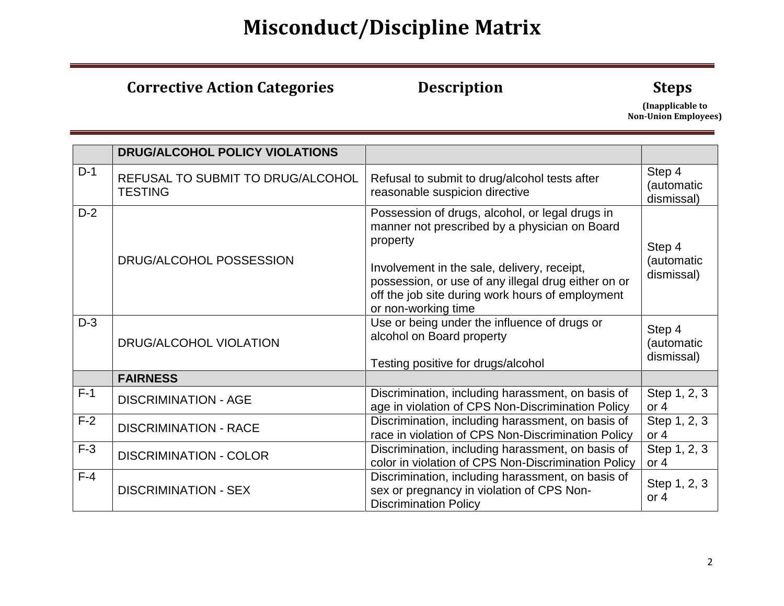### **Corrective Action Categories 6 10 Description 10 Steps**

|       | DRUG/ALCOHOL POLICY VIOLATIONS                      |                                                                                                                                                                                                                                                                                               |                                    |
|-------|-----------------------------------------------------|-----------------------------------------------------------------------------------------------------------------------------------------------------------------------------------------------------------------------------------------------------------------------------------------------|------------------------------------|
| $D-1$ | REFUSAL TO SUBMIT TO DRUG/ALCOHOL<br><b>TESTING</b> | Refusal to submit to drug/alcohol tests after<br>reasonable suspicion directive                                                                                                                                                                                                               | Step 4<br>(automatic<br>dismissal) |
| $D-2$ | DRUG/ALCOHOL POSSESSION                             | Possession of drugs, alcohol, or legal drugs in<br>manner not prescribed by a physician on Board<br>property<br>Involvement in the sale, delivery, receipt,<br>possession, or use of any illegal drug either on or<br>off the job site during work hours of employment<br>or non-working time | Step 4<br>(automatic<br>dismissal) |
| $D-3$ | DRUG/ALCOHOL VIOLATION                              | Use or being under the influence of drugs or<br>alcohol on Board property<br>Testing positive for drugs/alcohol                                                                                                                                                                               | Step 4<br>(automatic<br>dismissal) |
|       | <b>FAIRNESS</b>                                     |                                                                                                                                                                                                                                                                                               |                                    |
| $F-1$ | <b>DISCRIMINATION - AGE</b>                         | Discrimination, including harassment, on basis of<br>age in violation of CPS Non-Discrimination Policy                                                                                                                                                                                        | Step 1, 2, 3<br>or $4$             |
| $F-2$ | <b>DISCRIMINATION - RACE</b>                        | Discrimination, including harassment, on basis of<br>race in violation of CPS Non-Discrimination Policy                                                                                                                                                                                       | Step 1, 2, 3<br>or $4$             |
| $F-3$ | <b>DISCRIMINATION - COLOR</b>                       | Discrimination, including harassment, on basis of<br>color in violation of CPS Non-Discrimination Policy                                                                                                                                                                                      | Step 1, 2, 3<br>or $4$             |
| $F-4$ | <b>DISCRIMINATION - SEX</b>                         | Discrimination, including harassment, on basis of<br>sex or pregnancy in violation of CPS Non-<br><b>Discrimination Policy</b>                                                                                                                                                                | Step 1, 2, 3<br>or $4$             |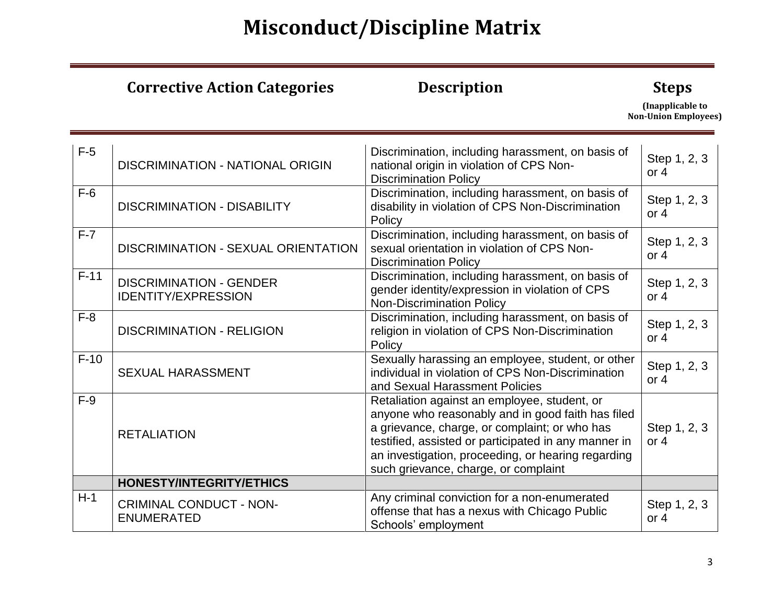### **Corrective Action Categories 6 10 Description 10 Steps**

| $F-5$  | <b>DISCRIMINATION - NATIONAL ORIGIN</b> | Discrimination, including harassment, on basis of<br>national origin in violation of CPS Non- | Step 1, 2, 3 |
|--------|-----------------------------------------|-----------------------------------------------------------------------------------------------|--------------|
|        |                                         | <b>Discrimination Policy</b>                                                                  | or $4$       |
| $F-6$  |                                         | Discrimination, including harassment, on basis of                                             | Step 1, 2, 3 |
|        | <b>DISCRIMINATION - DISABILITY</b>      | disability in violation of CPS Non-Discrimination<br>Policy                                   | or $4$       |
| $F-7$  |                                         | Discrimination, including harassment, on basis of                                             |              |
|        | DISCRIMINATION - SEXUAL ORIENTATION     | sexual orientation in violation of CPS Non-                                                   | Step 1, 2, 3 |
|        |                                         | <b>Discrimination Policy</b>                                                                  | or $4$       |
| $F-11$ | <b>DISCRIMINATION - GENDER</b>          | Discrimination, including harassment, on basis of                                             | Step 1, 2, 3 |
|        | <b>IDENTITY/EXPRESSION</b>              | gender identity/expression in violation of CPS<br><b>Non-Discrimination Policy</b>            | or $4$       |
| $F-8$  |                                         | Discrimination, including harassment, on basis of                                             |              |
|        | <b>DISCRIMINATION - RELIGION</b>        | religion in violation of CPS Non-Discrimination                                               | Step 1, 2, 3 |
|        |                                         | Policy                                                                                        | or $4$       |
| $F-10$ |                                         | Sexually harassing an employee, student, or other                                             | Step 1, 2, 3 |
|        | <b>SEXUAL HARASSMENT</b>                | individual in violation of CPS Non-Discrimination                                             | or $4$       |
| $F-9$  |                                         | and Sexual Harassment Policies<br>Retaliation against an employee, student, or                |              |
|        |                                         | anyone who reasonably and in good faith has filed                                             |              |
|        |                                         | a grievance, charge, or complaint; or who has                                                 | Step 1, 2, 3 |
|        | <b>RETALIATION</b>                      | testified, assisted or participated in any manner in                                          | or $4$       |
|        |                                         | an investigation, proceeding, or hearing regarding                                            |              |
|        |                                         | such grievance, charge, or complaint                                                          |              |
|        | <b>HONESTY/INTEGRITY/ETHICS</b>         |                                                                                               |              |
| $H-1$  | <b>CRIMINAL CONDUCT - NON-</b>          | Any criminal conviction for a non-enumerated                                                  | Step 1, 2, 3 |
|        | <b>ENUMERATED</b>                       | offense that has a nexus with Chicago Public<br>Schools' employment                           | or $4$       |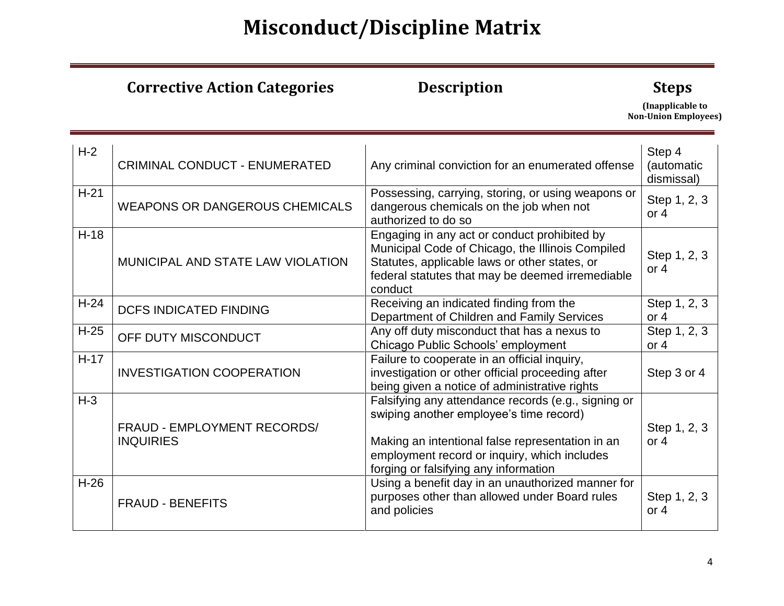### **Corrective Action Categories 6 10 Description 10 Steps**

| $H-2$  | <b>CRIMINAL CONDUCT - ENUMERATED</b>            | Any criminal conviction for an enumerated offense                                                                                                                                                                                           | Step 4<br>(automatic<br>dismissal) |
|--------|-------------------------------------------------|---------------------------------------------------------------------------------------------------------------------------------------------------------------------------------------------------------------------------------------------|------------------------------------|
| $H-21$ | <b>WEAPONS OR DANGEROUS CHEMICALS</b>           | Possessing, carrying, storing, or using weapons or<br>dangerous chemicals on the job when not<br>authorized to do so                                                                                                                        | Step 1, 2, 3<br>or $4$             |
| $H-18$ | MUNICIPAL AND STATE LAW VIOLATION               | Engaging in any act or conduct prohibited by<br>Municipal Code of Chicago, the Illinois Compiled<br>Statutes, applicable laws or other states, or<br>federal statutes that may be deemed irremediable<br>conduct                            | Step 1, 2, 3<br>or $4$             |
| $H-24$ | <b>DCFS INDICATED FINDING</b>                   | Receiving an indicated finding from the<br>Department of Children and Family Services                                                                                                                                                       | Step 1, 2, 3<br>or $4$             |
| $H-25$ | OFF DUTY MISCONDUCT                             | Any off duty misconduct that has a nexus to<br>Chicago Public Schools' employment                                                                                                                                                           | Step 1, 2, 3<br>or $4$             |
| $H-17$ | <b>INVESTIGATION COOPERATION</b>                | Failure to cooperate in an official inquiry,<br>investigation or other official proceeding after<br>being given a notice of administrative rights                                                                                           | Step 3 or 4                        |
| $H-3$  | FRAUD - EMPLOYMENT RECORDS/<br><b>INQUIRIES</b> | Falsifying any attendance records (e.g., signing or<br>swiping another employee's time record)<br>Making an intentional false representation in an<br>employment record or inquiry, which includes<br>forging or falsifying any information | Step 1, 2, 3<br>or $4$             |
| $H-26$ | <b>FRAUD - BENEFITS</b>                         | Using a benefit day in an unauthorized manner for<br>purposes other than allowed under Board rules<br>and policies                                                                                                                          | Step 1, 2, 3<br>or $4$             |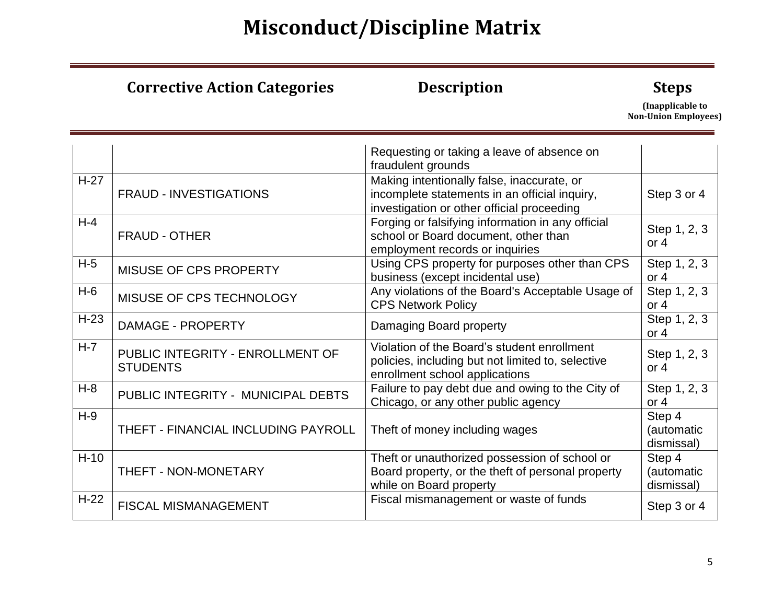### **Corrective Action Categories 6 10 Description 10 Steps**

|         |                                                     | Requesting or taking a leave of absence on<br>fraudulent grounds                                                                          |                                    |
|---------|-----------------------------------------------------|-------------------------------------------------------------------------------------------------------------------------------------------|------------------------------------|
| $H-27$  | <b>FRAUD - INVESTIGATIONS</b>                       | Making intentionally false, inaccurate, or<br>incomplete statements in an official inquiry,<br>investigation or other official proceeding | Step 3 or 4                        |
| $H - 4$ | FRAUD - OTHER                                       | Forging or falsifying information in any official<br>school or Board document, other than<br>employment records or inquiries              | Step 1, 2, 3<br>or $4$             |
| $H-5$   | MISUSE OF CPS PROPERTY                              | Using CPS property for purposes other than CPS<br>business (except incidental use)                                                        | Step 1, 2, 3<br>or $4$             |
| $H-6$   | MISUSE OF CPS TECHNOLOGY                            | Any violations of the Board's Acceptable Usage of<br><b>CPS Network Policy</b>                                                            | Step 1, 2, 3<br>or $4$             |
| $H-23$  | <b>DAMAGE - PROPERTY</b>                            | Damaging Board property                                                                                                                   | Step 1, 2, 3<br>or $4$             |
| $H-7$   | PUBLIC INTEGRITY - ENROLLMENT OF<br><b>STUDENTS</b> | Violation of the Board's student enrollment<br>policies, including but not limited to, selective<br>enrollment school applications        | Step 1, 2, 3<br>or $4$             |
| $H-8$   | PUBLIC INTEGRITY - MUNICIPAL DEBTS                  | Failure to pay debt due and owing to the City of<br>Chicago, or any other public agency                                                   | Step 1, 2, 3<br>or $4$             |
| $H-9$   | THEFT - FINANCIAL INCLUDING PAYROLL                 | Theft of money including wages                                                                                                            | Step 4<br>(automatic<br>dismissal) |
| $H-10$  | THEFT - NON-MONETARY                                | Theft or unauthorized possession of school or<br>Board property, or the theft of personal property<br>while on Board property             | Step 4<br>(automatic<br>dismissal) |
| $H-22$  | <b>FISCAL MISMANAGEMENT</b>                         | Fiscal mismanagement or waste of funds                                                                                                    | Step 3 or 4                        |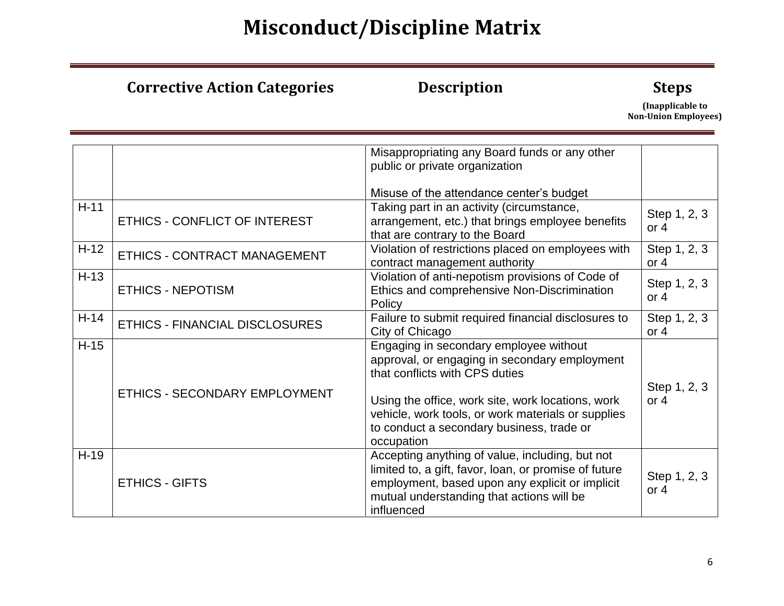### **Corrective Action Categories 6 10 Description 10 Steps**

|        |                                | Misappropriating any Board funds or any other         |              |
|--------|--------------------------------|-------------------------------------------------------|--------------|
|        |                                | public or private organization                        |              |
|        |                                |                                                       |              |
|        |                                | Misuse of the attendance center's budget              |              |
| $H-11$ |                                | Taking part in an activity (circumstance,             |              |
|        | ETHICS - CONFLICT OF INTEREST  | arrangement, etc.) that brings employee benefits      | Step 1, 2, 3 |
|        |                                | that are contrary to the Board                        | or $4$       |
| $H-12$ |                                | Violation of restrictions placed on employees with    | Step 1, 2, 3 |
|        | ETHICS - CONTRACT MANAGEMENT   | contract management authority                         | or $4$       |
|        |                                |                                                       |              |
| $H-13$ |                                | Violation of anti-nepotism provisions of Code of      | Step 1, 2, 3 |
|        | <b>ETHICS - NEPOTISM</b>       | Ethics and comprehensive Non-Discrimination           | or $4$       |
|        |                                | Policy                                                |              |
| $H-14$ | ETHICS - FINANCIAL DISCLOSURES | Failure to submit required financial disclosures to   | Step 1, 2, 3 |
|        |                                | City of Chicago                                       | or $4$       |
| $H-15$ |                                | Engaging in secondary employee without                |              |
|        |                                | approval, or engaging in secondary employment         |              |
|        |                                | that conflicts with CPS duties                        |              |
|        |                                |                                                       | Step 1, 2, 3 |
|        | ETHICS - SECONDARY EMPLOYMENT  |                                                       | or $4$       |
|        |                                | Using the office, work site, work locations, work     |              |
|        |                                | vehicle, work tools, or work materials or supplies    |              |
|        |                                | to conduct a secondary business, trade or             |              |
|        |                                | occupation                                            |              |
| $H-19$ |                                | Accepting anything of value, including, but not       |              |
|        |                                | limited to, a gift, favor, loan, or promise of future |              |
|        | <b>ETHICS - GIFTS</b>          | employment, based upon any explicit or implicit       | Step 1, 2, 3 |
|        |                                | mutual understanding that actions will be             | or $4$       |
|        |                                | influenced                                            |              |
|        |                                |                                                       |              |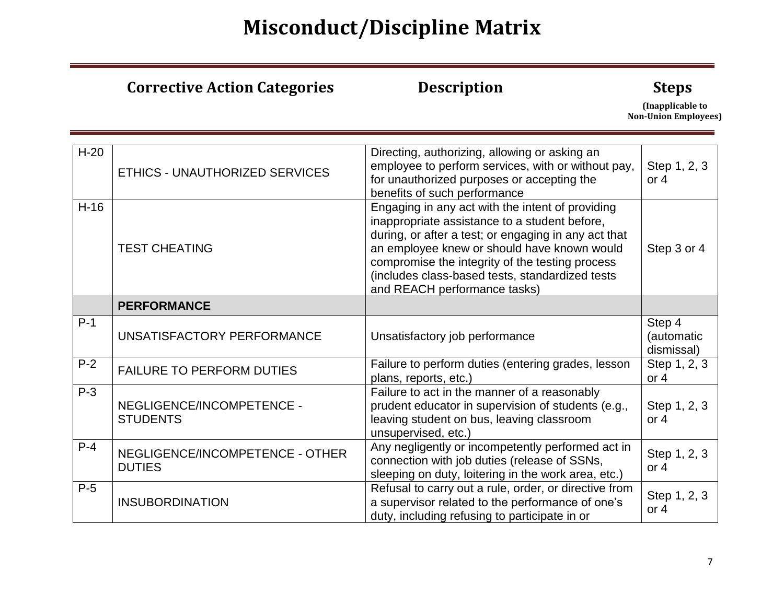|        | <b>Corrective Action Categories</b>              | <b>Description</b>                                                                                                                                                                                                                                                                                                                             | <b>Steps</b><br>(Inapplicable to<br><b>Non-Union Employees)</b> |
|--------|--------------------------------------------------|------------------------------------------------------------------------------------------------------------------------------------------------------------------------------------------------------------------------------------------------------------------------------------------------------------------------------------------------|-----------------------------------------------------------------|
| $H-20$ | ETHICS - UNAUTHORIZED SERVICES                   | Directing, authorizing, allowing or asking an<br>employee to perform services, with or without pay,<br>for unauthorized purposes or accepting the<br>benefits of such performance                                                                                                                                                              | Step 1, 2, 3<br>or $4$                                          |
| $H-16$ | <b>TEST CHEATING</b>                             | Engaging in any act with the intent of providing<br>inappropriate assistance to a student before,<br>during, or after a test; or engaging in any act that<br>an employee knew or should have known would<br>compromise the integrity of the testing process<br>(includes class-based tests, standardized tests<br>and REACH performance tasks) | Step 3 or 4                                                     |
|        | <b>PERFORMANCE</b>                               |                                                                                                                                                                                                                                                                                                                                                |                                                                 |
| $P-1$  | UNSATISFACTORY PERFORMANCE                       | Unsatisfactory job performance                                                                                                                                                                                                                                                                                                                 | Step 4<br>(automatic<br>dismissal)                              |
| $P-2$  | <b>FAILURE TO PERFORM DUTIES</b>                 | Failure to perform duties (entering grades, lesson<br>plans, reports, etc.)                                                                                                                                                                                                                                                                    | Step 1, 2, 3<br>or $4$                                          |
| $P-3$  | NEGLIGENCE/INCOMPETENCE -<br><b>STUDENTS</b>     | Failure to act in the manner of a reasonably<br>prudent educator in supervision of students (e.g.,<br>leaving student on bus, leaving classroom<br>unsupervised, etc.)                                                                                                                                                                         | Step 1, 2, 3<br>or $4$                                          |
| $P-4$  | NEGLIGENCE/INCOMPETENCE - OTHER<br><b>DUTIES</b> | Any negligently or incompetently performed act in<br>connection with job duties (release of SSNs,<br>sleeping on duty, loitering in the work area, etc.)                                                                                                                                                                                       | Step 1, 2, 3<br>or 4                                            |
| $P-5$  | <b>INSUBORDINATION</b>                           | Refusal to carry out a rule, order, or directive from<br>a supervisor related to the performance of one's<br>duty, including refusing to participate in or                                                                                                                                                                                     | Step 1, 2, 3<br>or $4$                                          |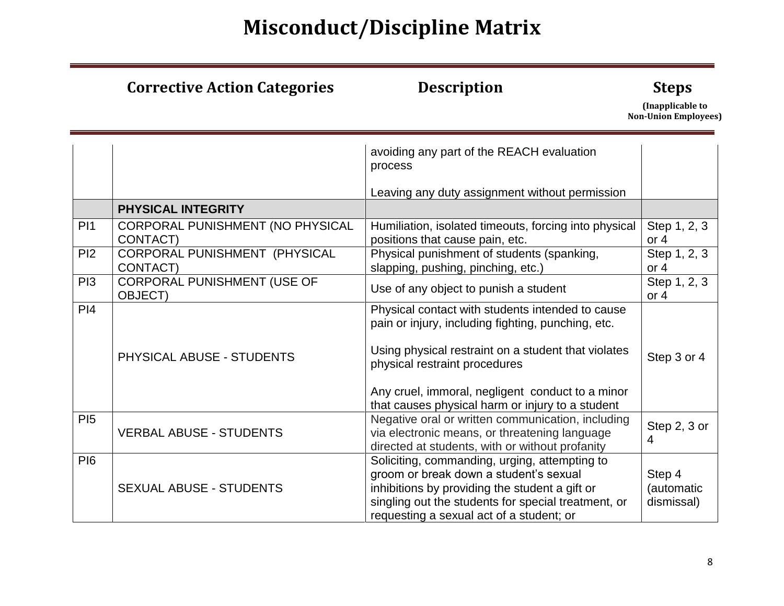### **Corrective Action Categories 6 10 Description 10 Steps**

|                 |                                               | avoiding any part of the REACH evaluation<br>process                                                                                                                                                                                                                                                   |                                    |
|-----------------|-----------------------------------------------|--------------------------------------------------------------------------------------------------------------------------------------------------------------------------------------------------------------------------------------------------------------------------------------------------------|------------------------------------|
|                 |                                               | Leaving any duty assignment without permission                                                                                                                                                                                                                                                         |                                    |
|                 | <b>PHYSICAL INTEGRITY</b>                     |                                                                                                                                                                                                                                                                                                        |                                    |
| PI1             | CORPORAL PUNISHMENT (NO PHYSICAL<br>CONTACT)  | Humiliation, isolated timeouts, forcing into physical<br>positions that cause pain, etc.                                                                                                                                                                                                               | Step 1, 2, 3<br>or $4$             |
| PI2             | CORPORAL PUNISHMENT (PHYSICAL<br>CONTACT)     | Physical punishment of students (spanking,<br>slapping, pushing, pinching, etc.)                                                                                                                                                                                                                       | Step 1, 2, 3<br>or $4$             |
| PI <sub>3</sub> | CORPORAL PUNISHMENT (USE OF<br><b>OBJECT)</b> | Use of any object to punish a student                                                                                                                                                                                                                                                                  | Step 1, 2, 3<br>or $4$             |
| PI4             | PHYSICAL ABUSE - STUDENTS                     | Physical contact with students intended to cause<br>pain or injury, including fighting, punching, etc.<br>Using physical restraint on a student that violates<br>physical restraint procedures<br>Any cruel, immoral, negligent conduct to a minor<br>that causes physical harm or injury to a student | Step 3 or 4                        |
| P <sub>15</sub> | <b>VERBAL ABUSE - STUDENTS</b>                | Negative oral or written communication, including<br>via electronic means, or threatening language<br>directed at students, with or without profanity                                                                                                                                                  | Step 2, 3 or<br>4                  |
| <b>PI6</b>      | <b>SEXUAL ABUSE - STUDENTS</b>                | Soliciting, commanding, urging, attempting to<br>groom or break down a student's sexual<br>inhibitions by providing the student a gift or<br>singling out the students for special treatment, or<br>requesting a sexual act of a student; or                                                           | Step 4<br>(automatic<br>dismissal) |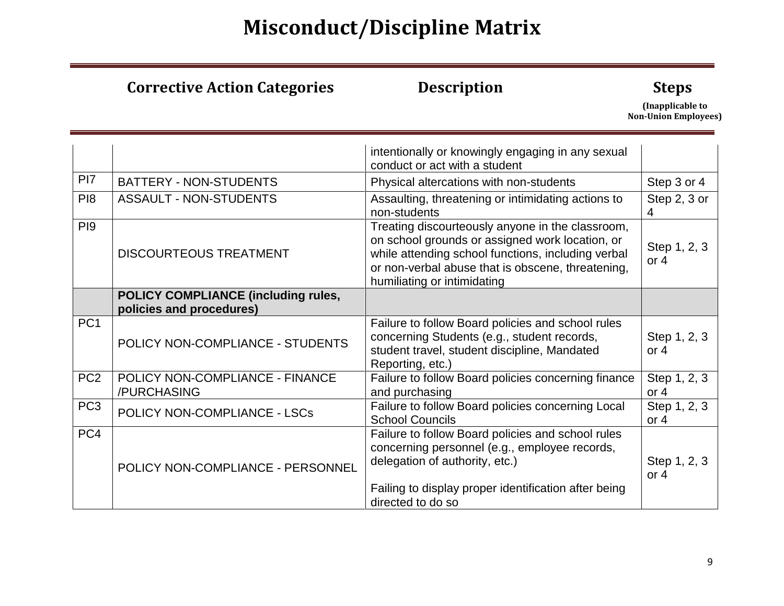### **Corrective Action Categories 6 10 Description 10 Steps**

|                 |                                                | intentionally or knowingly engaging in any sexual<br>conduct or act with a student                                                                                                                                                            |                        |
|-----------------|------------------------------------------------|-----------------------------------------------------------------------------------------------------------------------------------------------------------------------------------------------------------------------------------------------|------------------------|
| PI <sub>7</sub> | <b>BATTERY - NON-STUDENTS</b>                  | Physical altercations with non-students                                                                                                                                                                                                       | Step 3 or 4            |
| P <sub>18</sub> | <b>ASSAULT - NON-STUDENTS</b>                  | Assaulting, threatening or intimidating actions to<br>non-students                                                                                                                                                                            | Step 2, 3 or<br>4      |
| PI <sub>9</sub> | <b>DISCOURTEOUS TREATMENT</b>                  | Treating discourteously anyone in the classroom,<br>on school grounds or assigned work location, or<br>while attending school functions, including verbal<br>or non-verbal abuse that is obscene, threatening,<br>humiliating or intimidating | Step 1, 2, 3<br>or $4$ |
|                 | <b>POLICY COMPLIANCE (including rules,</b>     |                                                                                                                                                                                                                                               |                        |
|                 | policies and procedures)                       |                                                                                                                                                                                                                                               |                        |
| PC <sub>1</sub> | POLICY NON-COMPLIANCE - STUDENTS               | Failure to follow Board policies and school rules<br>concerning Students (e.g., student records,<br>student travel, student discipline, Mandated<br>Reporting, etc.)                                                                          | Step 1, 2, 3<br>or $4$ |
| PC <sub>2</sub> | POLICY NON-COMPLIANCE - FINANCE<br>/PURCHASING | Failure to follow Board policies concerning finance<br>and purchasing                                                                                                                                                                         | Step 1, 2, 3<br>or $4$ |
| PC <sub>3</sub> | POLICY NON-COMPLIANCE - LSCs                   | Failure to follow Board policies concerning Local<br><b>School Councils</b>                                                                                                                                                                   | Step 1, 2, 3<br>or $4$ |
| PC4             | POLICY NON-COMPLIANCE - PERSONNEL              | Failure to follow Board policies and school rules<br>concerning personnel (e.g., employee records,<br>delegation of authority, etc.)<br>Failing to display proper identification after being<br>directed to do so                             | Step 1, 2, 3<br>or $4$ |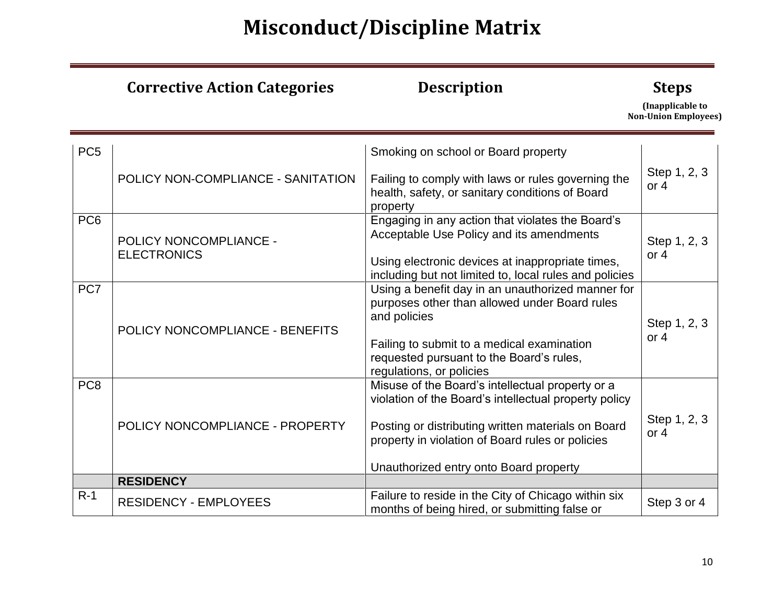|                 | <b>Corrective Action Categories</b>          | <b>Description</b>                                                                                                                                                                                                                                                                                 | <b>Steps</b><br>(Inapplicable to<br><b>Non-Union Employees)</b> |
|-----------------|----------------------------------------------|----------------------------------------------------------------------------------------------------------------------------------------------------------------------------------------------------------------------------------------------------------------------------------------------------|-----------------------------------------------------------------|
| PC <sub>5</sub> | POLICY NON-COMPLIANCE - SANITATION           | Smoking on school or Board property<br>Failing to comply with laws or rules governing the                                                                                                                                                                                                          | Step 1, 2, 3                                                    |
|                 |                                              | health, safety, or sanitary conditions of Board<br>property                                                                                                                                                                                                                                        | or $4$                                                          |
| PC <sub>6</sub> | POLICY NONCOMPLIANCE -<br><b>ELECTRONICS</b> | Engaging in any action that violates the Board's<br>Acceptable Use Policy and its amendments<br>Using electronic devices at inappropriate times,                                                                                                                                                   | Step 1, 2, 3<br>or $4$                                          |
| PC7             | POLICY NONCOMPLIANCE - BENEFITS              | including but not limited to, local rules and policies<br>Using a benefit day in an unauthorized manner for<br>purposes other than allowed under Board rules<br>and policies<br>Failing to submit to a medical examination<br>requested pursuant to the Board's rules,<br>regulations, or policies | Step 1, 2, 3<br>or $4$                                          |
| PC <sub>8</sub> | POLICY NONCOMPLIANCE - PROPERTY              | Misuse of the Board's intellectual property or a<br>violation of the Board's intellectual property policy<br>Posting or distributing written materials on Board<br>property in violation of Board rules or policies<br>Unauthorized entry onto Board property                                      | Step 1, 2, 3<br>or $4$                                          |
|                 | <b>RESIDENCY</b>                             |                                                                                                                                                                                                                                                                                                    |                                                                 |
| $R-1$           | <b>RESIDENCY - EMPLOYEES</b>                 | Failure to reside in the City of Chicago within six<br>months of being hired, or submitting false or                                                                                                                                                                                               | Step 3 or 4                                                     |